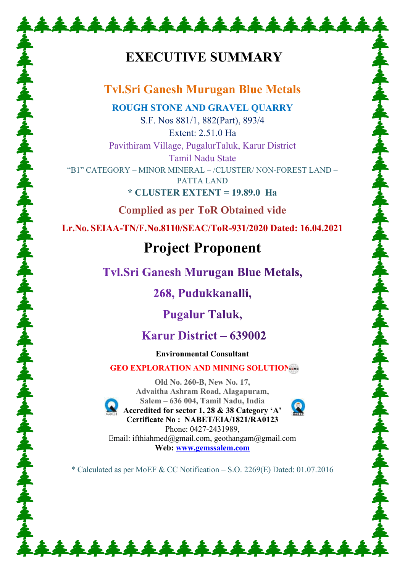# **EXECUTIVE SUMMARY**

\*\*\*\*\*\*\*\*\*\*\*\*\*\*\*\*\*\*\*

## **Tvl.Sri Ganesh Murugan Blue Metals**

**ROUGH STONE AND GRAVEL QUARRY** S.F. Nos 881/1, 882(Part), 893/4

Extent: 2.51.0 Ha Pavithiram Village, PugalurTaluk, Karur District Tamil Nadu State "B1" CATEGORY – MINOR MINERAL – /CLUSTER/ NON-FOREST LAND – PATTA LAND

**\* CLUSTER EXTENT = 19.89.0 Ha** 

**Complied as per ToR Obtained vide** 

**Lr.No. SEIAA-TN/F.No.8110/SEAC/ToR-931/2020 Dated: 16.04.2021** 

# **Project Proponent**

**Tvl.Sri Ganesh Murugan Blue Metals,** 

268, Pudukkanalli,

**Pugalur Taluk,** 

## Karur District – 639002

**Environmental Consultant** 

### GEO EXPLORATION AND MINING SOLUTION



**Old No. 260-B, New No. 17, Advaitha Ashram Road, Alagapuram, Salem – 636 004, Tamil Nadu, India Accredited for sector 1, 28 & 38 Category 'A' Certificate No : NABET/EIA/1821/RA0123** 



Phone: 0427-2431989, Email: ifthiahmed@gmail.com, geothangam@gmail.com **Web: [www.gemssalem.com](http://www.gemssalem.com/)** 

\* Calculated as per MoEF & CC Notification – S.O. 2269(E) Dated: 01.07.2016

\*\*\*\*\*\*\*\*\*\*\*\*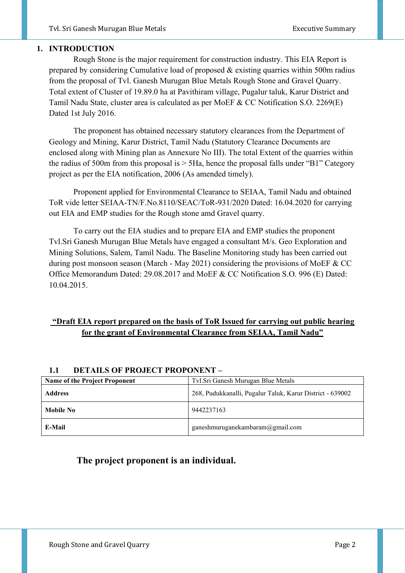#### **1. INTRODUCTION**

 Rough Stone is the major requirement for construction industry. This EIA Report is prepared by considering Cumulative load of proposed & existing quarries within 500m radius from the proposal of Tvl. Ganesh Murugan Blue Metals Rough Stone and Gravel Quarry. Total extent of Cluster of 19.89.0 ha at Pavithiram village, Pugalur taluk, Karur District and Tamil Nadu State, cluster area is calculated as per MoEF & CC Notification S.O. 2269(E) Dated 1st July 2016.

 The proponent has obtained necessary statutory clearances from the Department of Geology and Mining, Karur District, Tamil Nadu (Statutory Clearance Documents are enclosed along with Mining plan as Annexure No III). The total Extent of the quarries within the radius of 500m from this proposal is  $>$  5Ha, hence the proposal falls under "B1" Category project as per the EIA notification, 2006 (As amended timely).

 Proponent applied for Environmental Clearance to SEIAA, Tamil Nadu and obtained ToR vide letter SEIAA-TN/F.No.8110/SEAC/ToR-931/2020 Dated: 16.04.2020 for carrying out EIA and EMP studies for the Rough stone amd Gravel quarry.

 To carry out the EIA studies and to prepare EIA and EMP studies the proponent Tvl.Sri Ganesh Murugan Blue Metals have engaged a consultant M/s. Geo Exploration and Mining Solutions, Salem, Tamil Nadu. The Baseline Monitoring study has been carried out during post monsoon season (March - May 2021) considering the provisions of MoEF & CC Office Memorandum Dated: 29.08.2017 and MoEF & CC Notification S.O. 996 (E) Dated: 10.04.2015.

#### **"Draft EIA report prepared on the basis of ToR Issued for carrying out public hearing for the grant of Environmental Clearance from SEIAA, Tamil Nadu"**

| <b>Name of the Project Proponent</b> | Tvl.Sri Ganesh Murugan Blue Metals                        |
|--------------------------------------|-----------------------------------------------------------|
| <b>Address</b>                       | 268, Pudukkanalli, Pugalur Taluk, Karur District - 639002 |
| Mobile No                            | 9442237163                                                |
| E-Mail                               | ganeshmuruganekambaram $@g$ mail.com                      |

#### **1.1 DETAILS OF PROJECT PROPONENT –**

#### **The project proponent is an individual.**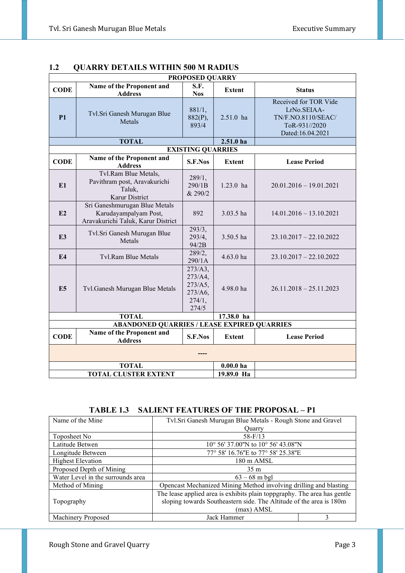| <b>PROPOSED QUARRY</b> |                                                                                              |                                                             |               |                                                                                                 |  |  |
|------------------------|----------------------------------------------------------------------------------------------|-------------------------------------------------------------|---------------|-------------------------------------------------------------------------------------------------|--|--|
| <b>CODE</b>            | Name of the Proponent and<br><b>Address</b>                                                  | S.F.<br><b>Nos</b>                                          | <b>Extent</b> | <b>Status</b>                                                                                   |  |  |
| P1                     | Tvl.Sri Ganesh Murugan Blue<br>Metals                                                        | 881/1,<br>882(P),<br>893/4                                  | $2.51.0$ ha   | Received for TOR Vide<br>LrNo.SEIAA-<br>TN/F.NO.8110/SEAC/<br>ToR-931//2020<br>Dated:16.04.2021 |  |  |
|                        | <b>TOTAL</b>                                                                                 |                                                             | $2.51.0$ ha   |                                                                                                 |  |  |
|                        |                                                                                              | <b>EXISTING QUARRIES</b>                                    |               |                                                                                                 |  |  |
| <b>CODE</b>            | Name of the Proponent and<br><b>Address</b>                                                  | S.F.Nos                                                     | <b>Extent</b> | <b>Lease Period</b>                                                                             |  |  |
| E1                     | Tvl.Ram Blue Metals,<br>Pavithram post, Aravakurichi<br>Taluk,<br>Karur District             | 289/1,<br>290/1B<br>& 290/2                                 | $1.23.0$ ha   | $20.01.2016 - 19.01.2021$                                                                       |  |  |
| E2                     | Sri Ganeshmurugan Blue Metals<br>Karudayampalyam Post,<br>Aravakurichi Taluk, Karur District | 892                                                         | 3.03.5 ha     | $14.01.2016 - 13.10.2021$                                                                       |  |  |
| E <sub>3</sub>         | Tvl.Sri Ganesh Murugan Blue<br>Metals                                                        | 293/3,<br>293/4,<br>94/2B                                   | 3.50.5 ha     | $23.10.2017 - 22.10.2022$                                                                       |  |  |
| E <sub>4</sub>         | Tyl.Ram Blue Metals                                                                          | 289/2,<br>290/1A                                            | $4.63.0$ ha   | $23.10.2017 - 22.10.2022$                                                                       |  |  |
| E <sub>5</sub>         | Tvl.Ganesh Murugan Blue Metals                                                               | 273/A3,<br>273/A4,<br>273/A5,<br>273/A6,<br>274/1,<br>274/5 | 4.98.0 ha     | $26.11.2018 - 25.11.2023$                                                                       |  |  |
|                        | 17.38.0 ha<br><b>TOTAL</b>                                                                   |                                                             |               |                                                                                                 |  |  |
|                        | <b>ABANDONED QUARRIES / LEASE EXPIRED QUARRIES</b>                                           |                                                             |               |                                                                                                 |  |  |
| <b>CODE</b>            | Name of the Proponent and<br><b>Address</b>                                                  | S.F.Nos                                                     | <b>Extent</b> | <b>Lease Period</b>                                                                             |  |  |
|                        |                                                                                              |                                                             |               |                                                                                                 |  |  |
|                        | <b>TOTAL</b>                                                                                 |                                                             | $0.00.0$ ha   |                                                                                                 |  |  |
|                        | TOTAL CLUSTER EXTENT<br>19.89.0 Ha                                                           |                                                             |               |                                                                                                 |  |  |

#### **1.2 QUARRY DETAILS WITHIN 500 M RADIUS**

**TABLE 1.3 SALIENT FEATURES OF THE PROPOSAL – P1**

| Name of the Mine                                                                  | Tvl.Sri Ganesh Murugan Blue Metals - Rough Stone and Gravel              |   |  |
|-----------------------------------------------------------------------------------|--------------------------------------------------------------------------|---|--|
|                                                                                   | Ouarry                                                                   |   |  |
| Toposheet No                                                                      | $58 - F/13$                                                              |   |  |
| Latitude Betwen                                                                   | 10° 56' 37.00"N to 10° 56' 43.08"N                                       |   |  |
| Longitude Between                                                                 | 77° 58' 16.76"E to 77° 58' 25.38"E                                       |   |  |
| <b>Highest Elevation</b>                                                          | 180 m AMSL                                                               |   |  |
| Proposed Depth of Mining                                                          | 35 <sub>m</sub>                                                          |   |  |
| Water Level in the surrounds area                                                 | $63 - 68$ m bgl                                                          |   |  |
| Method of Mining                                                                  | Opencast Mechanized Mining Method involving drilling and blasting        |   |  |
|                                                                                   | The lease applied area is exhibits plain toppgraphy. The area has gentle |   |  |
| sloping towards Southeastern side. The Altitude of the area is 180m<br>Topography |                                                                          |   |  |
|                                                                                   | (max) AMSL                                                               |   |  |
| Machinery Proposed                                                                | Jack Hammer                                                              | 3 |  |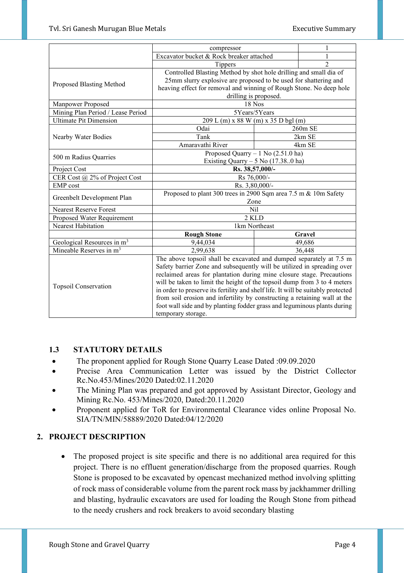|                                        | compressor                                                                       |  |                |  |
|----------------------------------------|----------------------------------------------------------------------------------|--|----------------|--|
|                                        | Excavator bucket & Rock breaker attached                                         |  |                |  |
|                                        | Tippers                                                                          |  | $\mathfrak{D}$ |  |
|                                        | Controlled Blasting Method by shot hole drilling and small dia of                |  |                |  |
|                                        | 25mm slurry explosive are proposed to be used for shattering and                 |  |                |  |
| Proposed Blasting Method               | heaving effect for removal and winning of Rough Stone. No deep hole              |  |                |  |
|                                        | drilling is proposed.                                                            |  |                |  |
| Manpower Proposed                      | 18 Nos                                                                           |  |                |  |
| Mining Plan Period / Lease Period      | 5Years/5Years                                                                    |  |                |  |
| <b>Ultimate Pit Dimension</b>          | 209 L (m) x 88 W (m) x 35 D bgl (m)                                              |  |                |  |
|                                        | Odai                                                                             |  | 260m SE        |  |
| Nearby Water Bodies                    | Tank                                                                             |  | 2km SE         |  |
|                                        | Amaravathi River                                                                 |  | 4km SE         |  |
| 500 m Radius Quarries                  | Proposed Quarry $-1$ No (2.51.0 ha)                                              |  |                |  |
|                                        | Existing Quarry $-5$ No (17.380 ha)                                              |  |                |  |
| Project Cost                           | Rs. 38,57,000/-                                                                  |  |                |  |
| CER Cost @ 2% of Project Cost          | Rs 76,000/-                                                                      |  |                |  |
| <b>EMP</b> cost                        | Rs. 3,80,000/-                                                                   |  |                |  |
| Greenbelt Development Plan             | Proposed to plant 300 trees in 2900 Sqm area 7.5 m & 10m Safety                  |  |                |  |
|                                        | Zone                                                                             |  |                |  |
| <b>Nearest Reserve Forest</b>          | Nil                                                                              |  |                |  |
| Proposed Water Requirement             | 2 KLD                                                                            |  |                |  |
| Nearest Habitation                     | 1km Northeast                                                                    |  |                |  |
|                                        | <b>Rough Stone</b>                                                               |  | Gravel         |  |
| Geological Resources in m <sup>3</sup> | 9,44,034                                                                         |  | 49,686         |  |
| Mineable Reserves in m <sup>3</sup>    | 2,99,638                                                                         |  | 36,448         |  |
|                                        | The above topsoil shall be excavated and dumped separately at 7.5 m              |  |                |  |
|                                        | Safety barrier Zone and subsequently will be utilized in spreading over          |  |                |  |
|                                        | reclaimed areas for plantation during mine closure stage. Precautions            |  |                |  |
| Topsoil Conservation                   | will be taken to limit the height of the topsoil dump from 3 to 4 meters         |  |                |  |
|                                        | in order to preserve its fertility and shelf life. It will be suitably protected |  |                |  |
|                                        | from soil erosion and infertility by constructing a retaining wall at the        |  |                |  |
|                                        | foot wall side and by planting fodder grass and leguminous plants during         |  |                |  |
|                                        | temporary storage.                                                               |  |                |  |

#### **1.3 STATUTORY DETAILS**

- The proponent applied for Rough Stone Quarry Lease Dated :09.09.2020
- Precise Area Communication Letter was issued by the District Collector Rc.No.453/Mines/2020 Dated:02.11.2020
- The Mining Plan was prepared and got approved by Assistant Director, Geology and Mining Rc.No. 453/Mines/2020, Dated:20.11.2020
- Proponent applied for ToR for Environmental Clearance vides online Proposal No. SIA/TN/MIN/58889/2020 Dated:04/12/2020

#### **2. PROJECT DESCRIPTION**

• The proposed project is site specific and there is no additional area required for this project. There is no effluent generation/discharge from the proposed quarries. Rough Stone is proposed to be excavated by opencast mechanized method involving splitting of rock mass of considerable volume from the parent rock mass by jackhammer drilling and blasting, hydraulic excavators are used for loading the Rough Stone from pithead to the needy crushers and rock breakers to avoid secondary blasting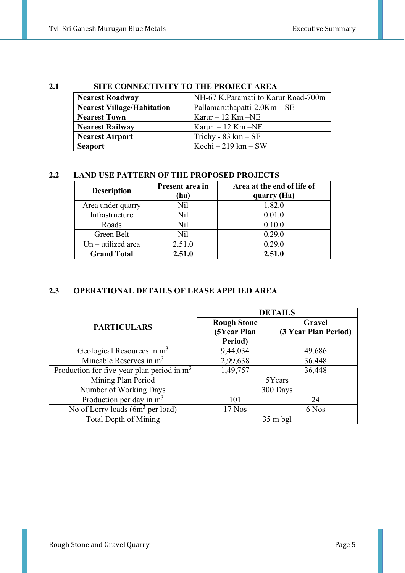#### **2.1 SITE CONNECTIVITY TO THE PROJECT AREA**

| <b>Nearest Roadway</b>            | NH-67 K.Paramati to Karur Road-700m  |
|-----------------------------------|--------------------------------------|
| <b>Nearest Village/Habitation</b> | Pallamaruthapatti-2.0Km $-$ SE       |
| <b>Nearest Town</b>               | Karur $-12$ Km $-NE$                 |
| <b>Nearest Railway</b>            | Karur $-12$ Km $-NE$                 |
| <b>Nearest Airport</b>            | Trichy - $83 \text{ km} - \text{SE}$ |
| <b>Seaport</b>                    | Kochi – 219 km – SW                  |

#### **2.2 LAND USE PATTERN OF THE PROPOSED PROJECTS**

| <b>Description</b>   | Present area in<br>(ha) | Area at the end of life of<br>quarry (Ha) |
|----------------------|-------------------------|-------------------------------------------|
| Area under quarry    | Nil                     | 1.82.0                                    |
| Infrastructure       | Nil                     | 0.01.0                                    |
| Roads                | Nil                     | 0.10.0                                    |
| Green Belt           | Nil                     | 0.29.0                                    |
| $Un - utilized area$ | 2.51.0                  | 0.29.0                                    |
| <b>Grand Total</b>   | 2.51.0                  | 2.51.0                                    |

#### **2.3 OPERATIONAL DETAILS OF LEASE APPLIED AREA**

|                                              | <b>DETAILS</b>                               |                                |  |  |
|----------------------------------------------|----------------------------------------------|--------------------------------|--|--|
| <b>PARTICULARS</b>                           | <b>Rough Stone</b><br>(5Year Plan<br>Period) | Gravel<br>(3 Year Plan Period) |  |  |
| Geological Resources in m <sup>3</sup>       | 9,44,034                                     | 49,686                         |  |  |
| Mineable Reserves in $m3$                    | 2,99,638                                     | 36,448                         |  |  |
| Production for five-year plan period in $m3$ | 1,49,757                                     | 36,448                         |  |  |
| Mining Plan Period                           |                                              | 5Years                         |  |  |
| Number of Working Days                       |                                              | 300 Days                       |  |  |
| Production per day in $m3$                   | 101                                          | 24                             |  |  |
| No of Lorry loads $(6m^3$ per load)          | 17 Nos                                       | 6 Nos                          |  |  |
| <b>Total Depth of Mining</b>                 |                                              | $35 \text{ m}$ bgl             |  |  |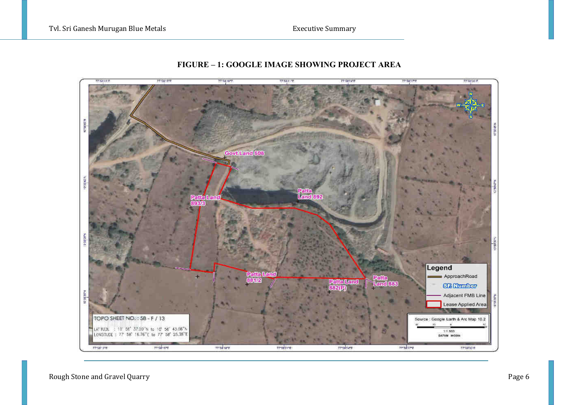

#### **FIGURE – 1: GOOGLE IMAGE SHOWING PROJECT AREA**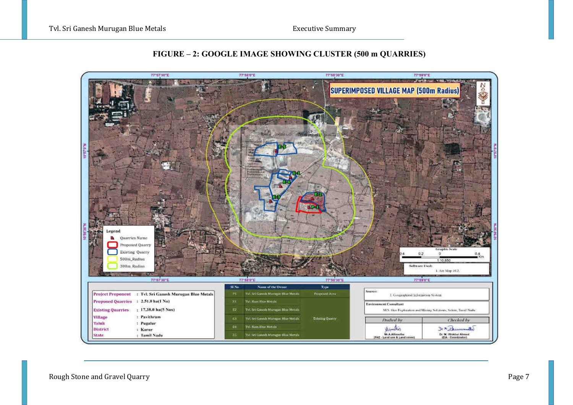

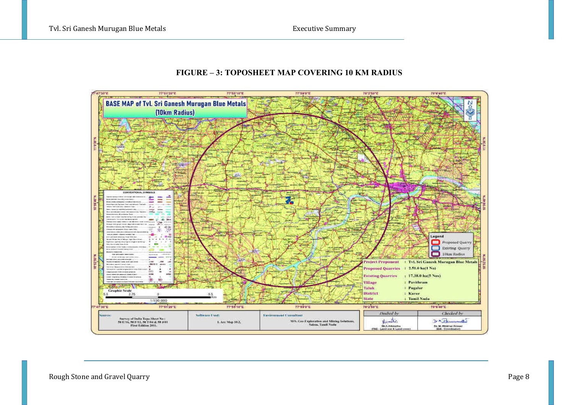#### **FIGURE – 3: TOPOSHEET MAP COVERING 10 KM RADIUS**

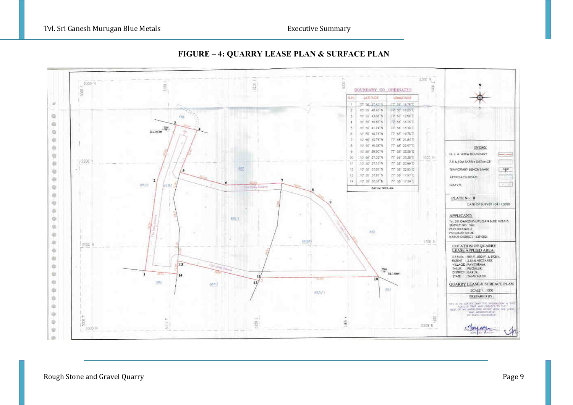

#### **FIGURE – 4: QUARRY LEASE PLAN & SURFACE PLAN**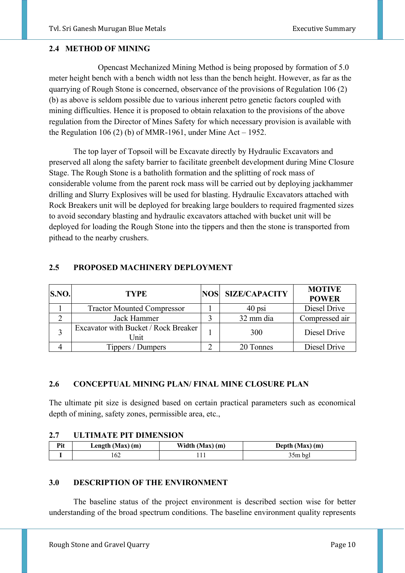#### **2.4 METHOD OF MINING**

 Opencast Mechanized Mining Method is being proposed by formation of 5.0 meter height bench with a bench width not less than the bench height. However, as far as the quarrying of Rough Stone is concerned, observance of the provisions of Regulation 106 (2) (b) as above is seldom possible due to various inherent petro genetic factors coupled with mining difficulties. Hence it is proposed to obtain relaxation to the provisions of the above regulation from the Director of Mines Safety for which necessary provision is available with the Regulation 106 (2) (b) of MMR-1961, under Mine Act – 1952.

The top layer of Topsoil will be Excavate directly by Hydraulic Excavators and preserved all along the safety barrier to facilitate greenbelt development during Mine Closure Stage. The Rough Stone is a batholith formation and the splitting of rock mass of considerable volume from the parent rock mass will be carried out by deploying jackhammer drilling and Slurry Explosives will be used for blasting. Hydraulic Excavators attached with Rock Breakers unit will be deployed for breaking large boulders to required fragmented sizes to avoid secondary blasting and hydraulic excavators attached with bucket unit will be deployed for loading the Rough Stone into the tippers and then the stone is transported from pithead to the nearby crushers.

#### **2.5 PROPOSED MACHINERY DEPLOYMENT**

| S.NO. | <b>TYPE</b>                                  | NOS SIZE/CAPACITY | <b>MOTIVE</b><br><b>POWER</b> |
|-------|----------------------------------------------|-------------------|-------------------------------|
|       | <b>Tractor Mounted Compressor</b>            | $40$ psi          | Diesel Drive                  |
|       | Jack Hammer                                  | 32 mm dia         | Compressed air                |
|       | Excavator with Bucket / Rock Breaker<br>Unit | 300               | Diesel Drive                  |
|       | Tippers / Dumpers                            | 20 Tonnes         | Diesel Drive                  |

#### **2.6 CONCEPTUAL MINING PLAN/ FINAL MINE CLOSURE PLAN**

The ultimate pit size is designed based on certain practical parameters such as economical depth of mining, safety zones, permissible area, etc.,

#### **2.7 ULTIMATE PIT DIMENSION**

| D <sub>it</sub> | Length $(Max)$ $(m)$ | Width (Max) (m) | Depth (Max) (m) |
|-----------------|----------------------|-----------------|-----------------|
|                 | 02                   |                 | 35m bgl         |

#### **3.0 DESCRIPTION OF THE ENVIRONMENT**

 The baseline status of the project environment is described section wise for better understanding of the broad spectrum conditions. The baseline environment quality represents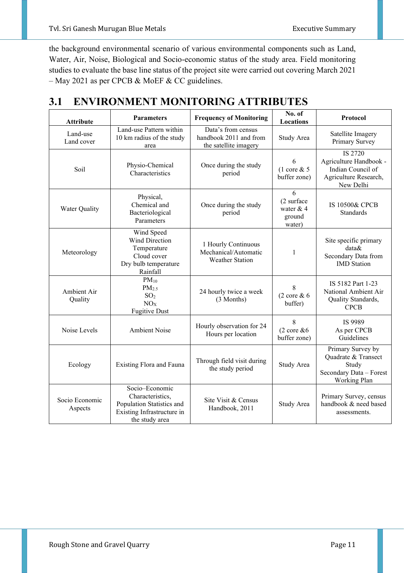the background environmental scenario of various environmental components such as Land, Water, Air, Noise, Biological and Socio-economic status of the study area. Field monitoring studies to evaluate the base line status of the project site were carried out covering March 2021 – May 2021 as per CPCB & MoEF & CC guidelines.

| 3.1 ENVIRONMENT MONITORING ATTRIBUTES |
|---------------------------------------|
|---------------------------------------|

| <b>Attribute</b>                                                                                                                                               | <b>Parameters</b>                                                                                               | <b>Frequency of Monitoring</b>                                        | No. of<br>Locations                                                                                 | Protocol                                                                                     |
|----------------------------------------------------------------------------------------------------------------------------------------------------------------|-----------------------------------------------------------------------------------------------------------------|-----------------------------------------------------------------------|-----------------------------------------------------------------------------------------------------|----------------------------------------------------------------------------------------------|
| Land-use<br>Land cover                                                                                                                                         | Land-use Pattern within<br>10 km radius of the study<br>area                                                    | Data's from census<br>handbook 2011 and from<br>the satellite imagery | Study Area                                                                                          | Satellite Imagery<br>Primary Survey                                                          |
| Soil                                                                                                                                                           | Physio-Chemical<br>Once during the study<br>Characteristics<br>period                                           |                                                                       | 6<br>$(1 \text{ core } 8, 5)$<br>buffer zone)                                                       | IS 2720<br>Agriculture Handbook -<br>Indian Council of<br>Agriculture Research,<br>New Delhi |
| Water Quality                                                                                                                                                  | Physical,<br>Chemical and<br>Bacteriological<br>Parameters                                                      | Once during the study<br>period                                       | 6<br>(2 surface<br>water $& 4$<br>ground<br>water)                                                  | IS 10500& CPCB<br>Standards                                                                  |
| Meteorology                                                                                                                                                    | Wind Speed<br><b>Wind Direction</b><br>Temperature<br>Cloud cover<br>Dry bulb temperature<br>Rainfall           | 1 Hourly Continuous<br>Mechanical/Automatic<br><b>Weather Station</b> | 1                                                                                                   | Site specific primary<br>data&<br>Secondary Data from<br><b>IMD</b> Station                  |
| $PM_{10}$<br>PM <sub>2.5</sub><br>Ambient Air<br>24 hourly twice a week<br>SO <sub>2</sub><br>Quality<br>(3 Months)<br>NO <sub>X</sub><br><b>Fugitive Dust</b> |                                                                                                                 | 8<br>$(2 \csc \& 6$<br>buffer)                                        | IS 5182 Part 1-23<br>National Ambient Air<br>Quality Standards,<br><b>CPCB</b>                      |                                                                                              |
| Noise Levels                                                                                                                                                   | <b>Ambient Noise</b>                                                                                            | Hourly observation for 24<br>Hours per location                       | 8<br>$(2 \csc \& 6)$<br>buffer zone)                                                                | IS 9989<br>As per CPCB<br>Guidelines                                                         |
| Through field visit during<br>Existing Flora and Fauna<br>Ecology<br>the study period                                                                          |                                                                                                                 | Study Area                                                            | Primary Survey by<br>Quadrate & Transect<br>Study<br>Secondary Data - Forest<br><b>Working Plan</b> |                                                                                              |
| Socio Economic<br>Aspects                                                                                                                                      | Socio-Economic<br>Characteristics,<br>Population Statistics and<br>Existing Infrastructure in<br>the study area | Site Visit & Census<br>Handbook, 2011                                 | Study Area                                                                                          | Primary Survey, census<br>handbook & need based<br>assessments.                              |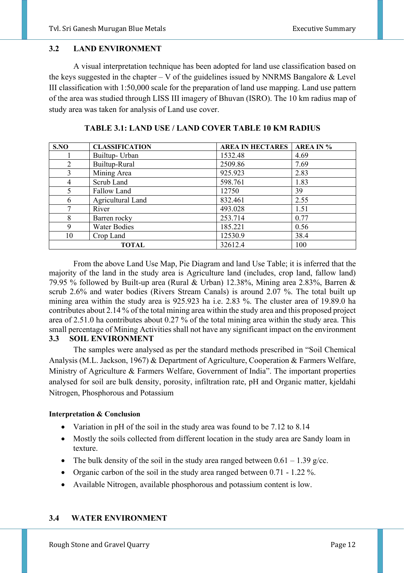#### **3.2 LAND ENVIRONMENT**

 A visual interpretation technique has been adopted for land use classification based on the keys suggested in the chapter – V of the guidelines issued by NNRMS Bangalore  $& Level$ III classification with 1:50,000 scale for the preparation of land use mapping. Land use pattern of the area was studied through LISS III imagery of Bhuvan (ISRO). The 10 km radius map of study area was taken for analysis of Land use cover.

| S.NO | <b>CLASSIFICATION</b> | <b>AREA IN HECTARES</b> | <b>AREA IN %</b> |
|------|-----------------------|-------------------------|------------------|
|      | Builtup- Urban        | 1532.48                 | 4.69             |
| 2    | Builtup-Rural         | 2509.86                 | 7.69             |
| 3    | Mining Area           | 925.923                 | 2.83             |
| 4    | Scrub Land            | 598.761                 | 1.83             |
|      | Fallow Land           | 12750                   | 39               |
| 6    | Agricultural Land     | 832.461                 | 2.55             |
|      | River                 | 493.028                 | 1.51             |
| 8    | Barren rocky          | 253.714                 | 0.77             |
| 9    | <b>Water Bodies</b>   | 185.221                 | 0.56             |
| 10   | Crop Land             | 12530.9                 | 38.4             |
|      | <b>TOTAL</b>          | 32612.4                 | 100              |

**TABLE 3.1: LAND USE / LAND COVER TABLE 10 KM RADIUS** 

 From the above Land Use Map, Pie Diagram and land Use Table; it is inferred that the majority of the land in the study area is Agriculture land (includes, crop land, fallow land) 79.95 % followed by Built-up area (Rural & Urban) 12.38%, Mining area 2.83%, Barren & scrub 2.6% and water bodies (Rivers Stream Canals) is around 2.07 %. The total built up mining area within the study area is 925.923 ha i.e. 2.83 %. The cluster area of 19.89.0 ha contributes about 2.14 % of the total mining area within the study area and this proposed project area of 2.51.0 ha contributes about 0.27 % of the total mining area within the study area. This small percentage of Mining Activities shall not have any significant impact on the environment **3.3 SOIL ENVIRONMENT** 

 The samples were analysed as per the standard methods prescribed in "Soil Chemical Analysis (M.L. Jackson, 1967) & Department of Agriculture, Cooperation & Farmers Welfare, Ministry of Agriculture & Farmers Welfare, Government of India". The important properties analysed for soil are bulk density, porosity, infiltration rate, pH and Organic matter, kjeldahi Nitrogen, Phosphorous and Potassium

#### **Interpretation & Conclusion**

- Variation in pH of the soil in the study area was found to be 7.12 to 8.14
- Mostly the soils collected from different location in the study area are Sandy loam in texture.
- The bulk density of the soil in the study area ranged between  $0.61 1.39$  g/cc.
- Organic carbon of the soil in the study area ranged between 0.71 1.22 %.
- Available Nitrogen, available phosphorous and potassium content is low.

#### **3.4 WATER ENVIRONMENT**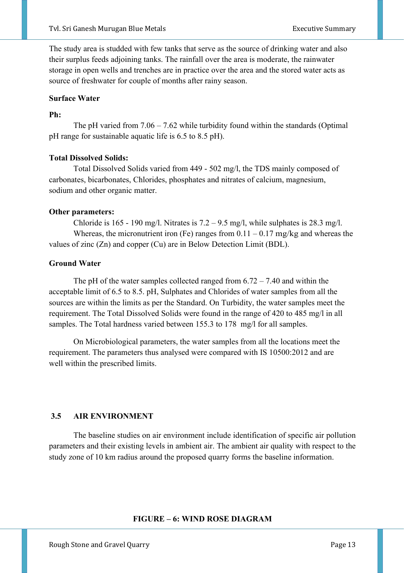The study area is studded with few tanks that serve as the source of drinking water and also their surplus feeds adjoining tanks. The rainfall over the area is moderate, the rainwater storage in open wells and trenches are in practice over the area and the stored water acts as source of freshwater for couple of months after rainy season.

#### **Surface Water**

#### **Ph:**

The pH varied from  $7.06 - 7.62$  while turbidity found within the standards (Optimal pH range for sustainable aquatic life is 6.5 to 8.5 pH).

#### **Total Dissolved Solids:**

Total Dissolved Solids varied from 449 - 502 mg/l, the TDS mainly composed of carbonates, bicarbonates, Chlorides, phosphates and nitrates of calcium, magnesium, sodium and other organic matter.

#### **Other parameters:**

Chloride is 165 - 190 mg/l. Nitrates is  $7.2 - 9.5$  mg/l, while sulphates is 28.3 mg/l. Whereas, the micronutrient iron (Fe) ranges from  $0.11 - 0.17$  mg/kg and whereas the values of zinc (Zn) and copper (Cu) are in Below Detection Limit (BDL).

#### **Ground Water**

The pH of the water samples collected ranged from  $6.72 - 7.40$  and within the acceptable limit of 6.5 to 8.5. pH, Sulphates and Chlorides of water samples from all the sources are within the limits as per the Standard. On Turbidity, the water samples meet the requirement. The Total Dissolved Solids were found in the range of 420 to 485 mg/l in all samples. The Total hardness varied between 155.3 to 178 mg/l for all samples.

 On Microbiological parameters, the water samples from all the locations meet the requirement. The parameters thus analysed were compared with IS 10500:2012 and are well within the prescribed limits.

#### **3.5 AIR ENVIRONMENT**

The baseline studies on air environment include identification of specific air pollution parameters and their existing levels in ambient air. The ambient air quality with respect to the study zone of 10 km radius around the proposed quarry forms the baseline information.

#### **FIGURE – 6: WIND ROSE DIAGRAM**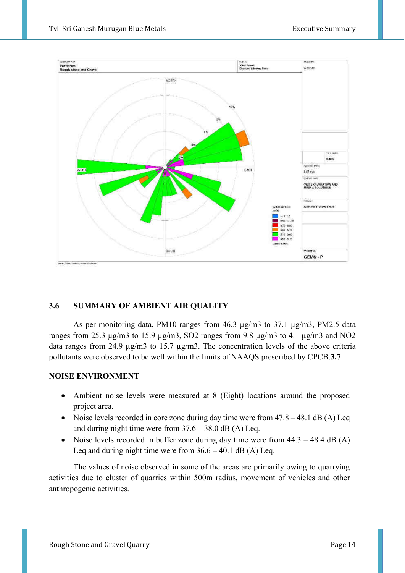

#### **3.6 SUMMARY OF AMBIENT AIR QUALITY**

As per monitoring data, PM10 ranges from  $46.3 \text{ µg/m}$ 3 to  $37.1 \text{ µg/m}$ 3, PM2.5 data ranges from 25.3  $\mu$ g/m3 to 15.9  $\mu$ g/m3, SO2 ranges from 9.8  $\mu$ g/m3 to 4.1  $\mu$ g/m3 and NO2 data ranges from 24.9 µg/m3 to 15.7 µg/m3. The concentration levels of the above criteria pollutants were observed to be well within the limits of NAAQS prescribed by CPCB.**3.7** 

#### **NOISE ENVIRONMENT**

- Ambient noise levels were measured at 8 (Eight) locations around the proposed project area.
- Noise levels recorded in core zone during day time were from  $47.8 48.1$  dB (A) Leq and during night time were from  $37.6 - 38.0$  dB (A) Leq.
- Noise levels recorded in buffer zone during day time were from  $44.3 48.4$  dB (A) Leq and during night time were from  $36.6 - 40.1$  dB (A) Leq.

The values of noise observed in some of the areas are primarily owing to quarrying activities due to cluster of quarries within 500m radius, movement of vehicles and other anthropogenic activities.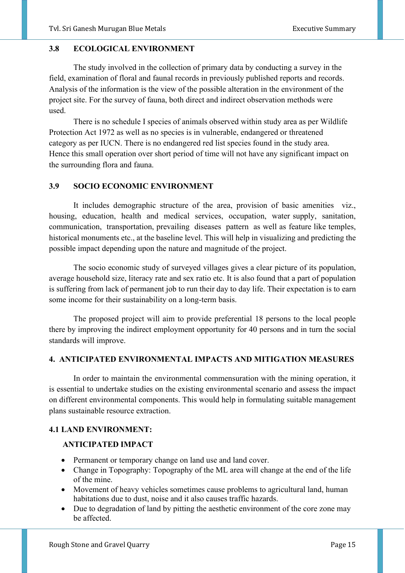#### **3.8 ECOLOGICAL ENVIRONMENT**

The study involved in the collection of primary data by conducting a survey in the field, examination of floral and faunal records in previously published reports and records. Analysis of the information is the view of the possible alteration in the environment of the project site. For the survey of fauna, both direct and indirect observation methods were used.

There is no schedule I species of animals observed within study area as per Wildlife Protection Act 1972 as well as no species is in vulnerable, endangered or threatened category as per IUCN. There is no endangered red list species found in the study area. Hence this small operation over short period of time will not have any significant impact on the surrounding flora and fauna.

#### **3.9 SOCIO ECONOMIC ENVIRONMENT**

It includes demographic structure of the area, provision of basic amenities viz., housing, education, health and medical services, occupation, water supply, sanitation, communication, transportation, prevailing diseases pattern as well as feature like temples, historical monuments etc., at the baseline level. This will help in visualizing and predicting the possible impact depending upon the nature and magnitude of the project.

The socio economic study of surveyed villages gives a clear picture of its population, average household size, literacy rate and sex ratio etc. It is also found that a part of population is suffering from lack of permanent job to run their day to day life. Their expectation is to earn some income for their sustainability on a long-term basis.

The proposed project will aim to provide preferential 18 persons to the local people there by improving the indirect employment opportunity for 40 persons and in turn the social standards will improve.

#### **4. ANTICIPATED ENVIRONMENTAL IMPACTS AND MITIGATION MEASURES**

In order to maintain the environmental commensuration with the mining operation, it is essential to undertake studies on the existing environmental scenario and assess the impact on different environmental components. This would help in formulating suitable management plans sustainable resource extraction.

#### **4.1 LAND ENVIRONMENT:**

#### **ANTICIPATED IMPACT**

- Permanent or temporary change on land use and land cover.
- Change in Topography: Topography of the ML area will change at the end of the life of the mine.
- Movement of heavy vehicles sometimes cause problems to agricultural land, human habitations due to dust, noise and it also causes traffic hazards.
- Due to degradation of land by pitting the aesthetic environment of the core zone may be affected.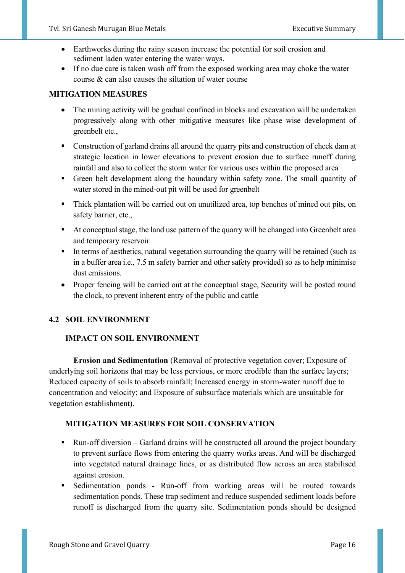- Earthworks during the rainy season increase the potential for soil erosion and sediment laden water entering the water ways.
- If no due care is taken wash off from the exposed working area may choke the water course & can also causes the siltation of water course

#### **MITIGATION MEASURES**

- The mining activity will be gradual confined in blocks and excavation will be undertaken progressively along with other mitigative measures like phase wise development of greenbelt etc.,
- Construction of garland drains all around the quarry pits and construction of check dam at strategic location in lower elevations to prevent erosion due to surface runoff during rainfall and also to collect the storm water for various uses within the proposed area
- Green belt development along the boundary within safety zone. The small quantity of water stored in the mined-out pit will be used for greenbelt
- Thick plantation will be carried out on unutilized area, top benches of mined out pits, on safety barrier, etc.,
- At conceptual stage, the land use pattern of the quarry will be changed into Greenbelt area and temporary reservoir
- **•** In terms of aesthetics, natural vegetation surrounding the quarry will be retained (such as in a buffer area i.e., 7.5 m safety barrier and other safety provided) so as to help minimise dust emissions.
- Proper fencing will be carried out at the conceptual stage, Security will be posted round the clock, to prevent inherent entry of the public and cattle

#### **4.2 SOIL ENVIRONMENT**

#### **IMPACT ON SOIL ENVIRONMENT**

 **Erosion and Sedimentation** (Removal of protective vegetation cover; Exposure of underlying soil horizons that may be less pervious, or more erodible than the surface layers; Reduced capacity of soils to absorb rainfall; Increased energy in storm-water runoff due to concentration and velocity; and Exposure of subsurface materials which are unsuitable for vegetation establishment).

#### **MITIGATION MEASURES FOR SOIL CONSERVATION**

- Run-off diversion Garland drains will be constructed all around the project boundary to prevent surface flows from entering the quarry works areas. And will be discharged into vegetated natural drainage lines, or as distributed flow across an area stabilised against erosion.
- Sedimentation ponds Run-off from working areas will be routed towards sedimentation ponds. These trap sediment and reduce suspended sediment loads before runoff is discharged from the quarry site. Sedimentation ponds should be designed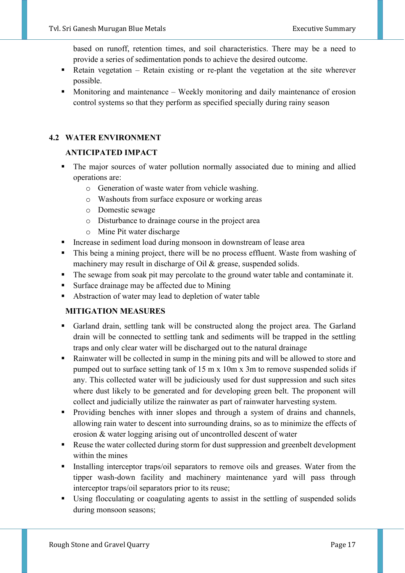based on runoff, retention times, and soil characteristics. There may be a need to provide a series of sedimentation ponds to achieve the desired outcome.

- Retain vegetation Retain existing or re-plant the vegetation at the site wherever possible.
- Monitoring and maintenance Weekly monitoring and daily maintenance of erosion control systems so that they perform as specified specially during rainy season

#### **4.2 WATER ENVIRONMENT**

#### **ANTICIPATED IMPACT**

- The major sources of water pollution normally associated due to mining and allied operations are:
	- o Generation of waste water from vehicle washing.
	- o Washouts from surface exposure or working areas
	- o Domestic sewage
	- o Disturbance to drainage course in the project area
	- o Mine Pit water discharge
- Increase in sediment load during monsoon in downstream of lease area
- **•** This being a mining project, there will be no process effluent. Waste from washing of machinery may result in discharge of Oil & grease, suspended solids.
- The sewage from soak pit may percolate to the ground water table and contaminate it.
- Surface drainage may be affected due to Mining
- Abstraction of water may lead to depletion of water table

#### **MITIGATION MEASURES**

- Garland drain, settling tank will be constructed along the project area. The Garland drain will be connected to settling tank and sediments will be trapped in the settling traps and only clear water will be discharged out to the natural drainage
- Rainwater will be collected in sump in the mining pits and will be allowed to store and pumped out to surface setting tank of 15 m x 10m x 3m to remove suspended solids if any. This collected water will be judiciously used for dust suppression and such sites where dust likely to be generated and for developing green belt. The proponent will collect and judicially utilize the rainwater as part of rainwater harvesting system.
- **•** Providing benches with inner slopes and through a system of drains and channels, allowing rain water to descent into surrounding drains, so as to minimize the effects of erosion & water logging arising out of uncontrolled descent of water
- Reuse the water collected during storm for dust suppression and greenbelt development within the mines
- **Exercise 1** Installing interceptor traps/oil separators to remove oils and greases. Water from the tipper wash-down facility and machinery maintenance yard will pass through interceptor traps/oil separators prior to its reuse;
- Using flocculating or coagulating agents to assist in the settling of suspended solids during monsoon seasons;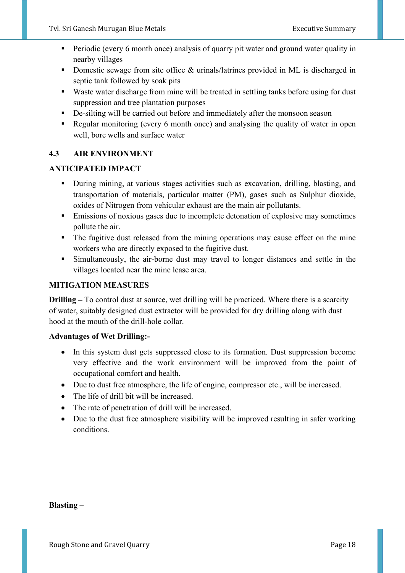- **•** Periodic (every 6 month once) analysis of quarry pit water and ground water quality in nearby villages
- Domestic sewage from site office & urinals/latrines provided in ML is discharged in septic tank followed by soak pits
- Waste water discharge from mine will be treated in settling tanks before using for dust suppression and tree plantation purposes
- De-silting will be carried out before and immediately after the monsoon season
- Regular monitoring (every 6 month once) and analysing the quality of water in open well, bore wells and surface water

#### **4.3 AIR ENVIRONMENT**

#### **ANTICIPATED IMPACT**

- During mining, at various stages activities such as excavation, drilling, blasting, and transportation of materials, particular matter (PM), gases such as Sulphur dioxide, oxides of Nitrogen from vehicular exhaust are the main air pollutants.
- **Emissions of noxious gases due to incomplete detonation of explosive may sometimes** pollute the air.
- **•** The fugitive dust released from the mining operations may cause effect on the mine workers who are directly exposed to the fugitive dust.
- Simultaneously, the air-borne dust may travel to longer distances and settle in the villages located near the mine lease area.

#### **MITIGATION MEASURES**

**Drilling –** To control dust at source, wet drilling will be practiced. Where there is a scarcity of water, suitably designed dust extractor will be provided for dry drilling along with dust hood at the mouth of the drill-hole collar.

#### **Advantages of Wet Drilling:-**

- In this system dust gets suppressed close to its formation. Dust suppression become very effective and the work environment will be improved from the point of occupational comfort and health.
- Due to dust free atmosphere, the life of engine, compressor etc., will be increased.
- The life of drill bit will be increased.
- The rate of penetration of drill will be increased.
- Due to the dust free atmosphere visibility will be improved resulting in safer working conditions.

**Blasting –**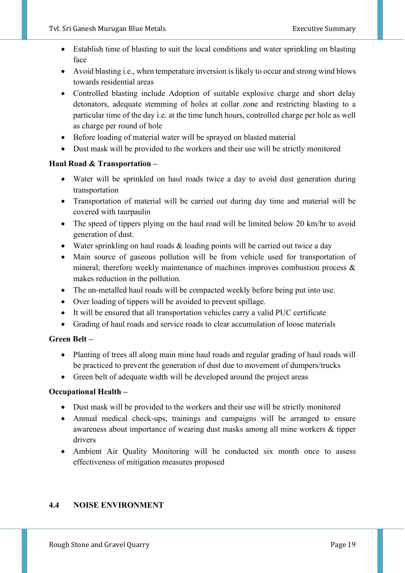- Establish time of blasting to suit the local conditions and water sprinkling on blasting face
- Avoid blasting i.e., when temperature inversion is likely to occur and strong wind blows towards residential areas
- Controlled blasting include Adoption of suitable explosive charge and short delay detonators, adequate stemming of holes at collar zone and restricting blasting to a particular time of the day i.e. at the time lunch hours, controlled charge per hole as well as charge per round of hole
- Before loading of material water will be sprayed on blasted material
- Dust mask will be provided to the workers and their use will be strictly monitored

#### **Haul Road & Transportation –**

- Water will be sprinkled on haul roads twice a day to avoid dust generation during transportation
- Transportation of material will be carried out during day time and material will be covered with taurpaulin
- The speed of tippers plying on the haul road will be limited below 20 km/hr to avoid generation of dust.
- Water sprinkling on haul roads & loading points will be carried out twice a day
- Main source of gaseous pollution will be from vehicle used for transportation of mineral; therefore weekly maintenance of machines improves combustion process & makes reduction in the pollution.
- The un-metalled haul roads will be compacted weekly before being put into use.
- Over loading of tippers will be avoided to prevent spillage.
- It will be ensured that all transportation vehicles carry a valid PUC certificate
- Grading of haul roads and service roads to clear accumulation of loose materials

#### **Green Belt –**

- Planting of trees all along main mine haul roads and regular grading of haul roads will be practiced to prevent the generation of dust due to movement of dumpers/trucks
- Green belt of adequate width will be developed around the project areas

#### **Occupational Health –**

- Dust mask will be provided to the workers and their use will be strictly monitored
- Annual medical check-ups, trainings and campaigns will be arranged to ensure awareness about importance of wearing dust masks among all mine workers & tipper drivers
- Ambient Air Quality Monitoring will be conducted six month once to assess effectiveness of mitigation measures proposed

#### **4.4 NOISE ENVIRONMENT**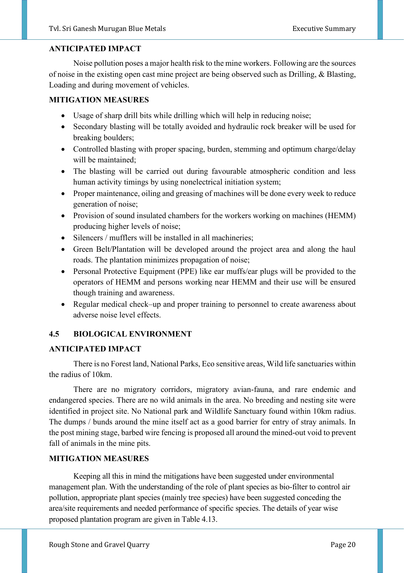#### **ANTICIPATED IMPACT**

Noise pollution poses a major health risk to the mine workers. Following are the sources of noise in the existing open cast mine project are being observed such as Drilling, & Blasting, Loading and during movement of vehicles.

#### **MITIGATION MEASURES**

- Usage of sharp drill bits while drilling which will help in reducing noise;
- Secondary blasting will be totally avoided and hydraulic rock breaker will be used for breaking boulders;
- Controlled blasting with proper spacing, burden, stemming and optimum charge/delay will be maintained;
- The blasting will be carried out during favourable atmospheric condition and less human activity timings by using nonelectrical initiation system;
- Proper maintenance, oiling and greasing of machines will be done every week to reduce generation of noise;
- Provision of sound insulated chambers for the workers working on machines (HEMM) producing higher levels of noise;
- Silencers / mufflers will be installed in all machineries;
- Green Belt/Plantation will be developed around the project area and along the haul roads. The plantation minimizes propagation of noise;
- Personal Protective Equipment (PPE) like ear muffs/ear plugs will be provided to the operators of HEMM and persons working near HEMM and their use will be ensured though training and awareness.
- Regular medical check–up and proper training to personnel to create awareness about adverse noise level effects.

#### **4.5 BIOLOGICAL ENVIRONMENT**

#### **ANTICIPATED IMPACT**

There is no Forest land, National Parks, Eco sensitive areas, Wild life sanctuaries within the radius of 10km.

 There are no migratory corridors, migratory avian-fauna, and rare endemic and endangered species. There are no wild animals in the area. No breeding and nesting site were identified in project site. No National park and Wildlife Sanctuary found within 10km radius. The dumps / bunds around the mine itself act as a good barrier for entry of stray animals. In the post mining stage, barbed wire fencing is proposed all around the mined-out void to prevent fall of animals in the mine pits.

#### **MITIGATION MEASURES**

 Keeping all this in mind the mitigations have been suggested under environmental management plan. With the understanding of the role of plant species as bio-filter to control air pollution, appropriate plant species (mainly tree species) have been suggested conceding the area/site requirements and needed performance of specific species. The details of year wise proposed plantation program are given in Table 4.13.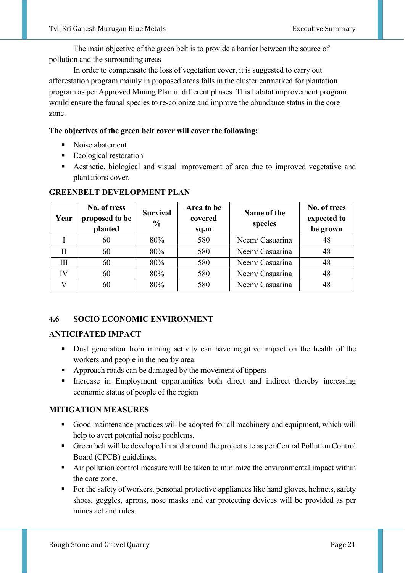The main objective of the green belt is to provide a barrier between the source of pollution and the surrounding areas

 In order to compensate the loss of vegetation cover, it is suggested to carry out afforestation program mainly in proposed areas falls in the cluster earmarked for plantation program as per Approved Mining Plan in different phases. This habitat improvement program would ensure the faunal species to re-colonize and improve the abundance status in the core zone.

#### **The objectives of the green belt cover will cover the following:**

- Noise abatement
- Ecological restoration
- **EXECUTE:** Aesthetic, biological and visual improvement of area due to improved vegetative and plantations cover.

| Year         | No. of tress<br>proposed to be<br>planted | <b>Survival</b><br>$\frac{6}{9}$ | Area to be<br>covered<br>sq.m | Name of the<br>species | No. of trees<br>expected to<br>be grown |
|--------------|-------------------------------------------|----------------------------------|-------------------------------|------------------------|-----------------------------------------|
|              | 60                                        | 80%                              | 580                           | Neem/ Casuarina        | 48                                      |
| $\mathbf{I}$ | 60                                        | 80%                              | 580                           | Neem/ Casuarina        | 48                                      |
| Ш            | 60                                        | 80%                              | 580                           | Neem/ Casuarina        | 48                                      |
| IV           | 60                                        | 80%                              | 580                           | Neem/ Casuarina        | 48                                      |
|              | 60                                        | 80%                              | 580                           | Neem/ Casuarina        | 48                                      |

#### **GREENBELT DEVELOPMENT PLAN**

#### **4.6 SOCIO ECONOMIC ENVIRONMENT**

#### **ANTICIPATED IMPACT**

- Dust generation from mining activity can have negative impact on the health of the workers and people in the nearby area.
- Approach roads can be damaged by the movement of tippers
- **EXECUTE:** Increase in Employment opportunities both direct and indirect thereby increasing economic status of people of the region

#### **MITIGATION MEASURES**

- Good maintenance practices will be adopted for all machinery and equipment, which will help to avert potential noise problems.
- Green belt will be developed in and around the project site as per Central Pollution Control Board (CPCB) guidelines.
- Air pollution control measure will be taken to minimize the environmental impact within the core zone.
- For the safety of workers, personal protective appliances like hand gloves, helmets, safety shoes, goggles, aprons, nose masks and ear protecting devices will be provided as per mines act and rules.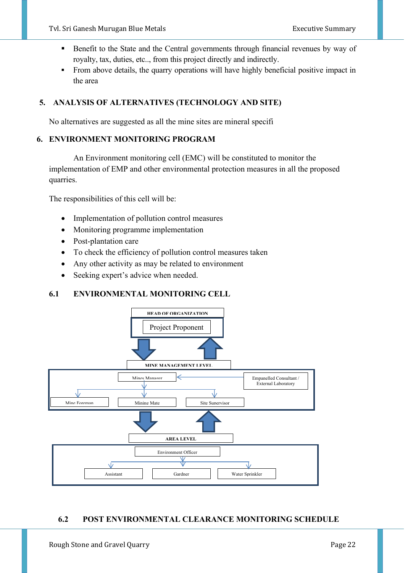- Benefit to the State and the Central governments through financial revenues by way of royalty, tax, duties, etc.., from this project directly and indirectly.
- From above details, the quarry operations will have highly beneficial positive impact in the area

#### **5. ANALYSIS OF ALTERNATIVES (TECHNOLOGY AND SITE)**

No alternatives are suggested as all the mine sites are mineral specifi

#### **6. ENVIRONMENT MONITORING PROGRAM**

An Environment monitoring cell (EMC) will be constituted to monitor the implementation of EMP and other environmental protection measures in all the proposed quarries.

The responsibilities of this cell will be:

- Implementation of pollution control measures
- Monitoring programme implementation
- Post-plantation care
- To check the efficiency of pollution control measures taken
- Any other activity as may be related to environment
- Seeking expert's advice when needed.

#### **6.1 ENVIRONMENTAL MONITORING CELL**



#### **6.2 POST ENVIRONMENTAL CLEARANCE MONITORING SCHEDULE**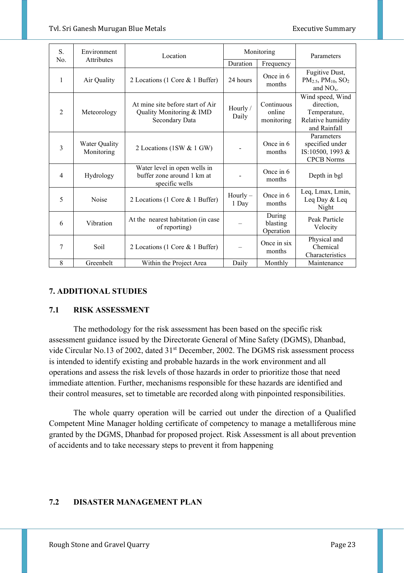| S.<br>Environment<br>Attributes<br>No. |                             | Location                                                                       | Monitoring          |                                    | Parameters                                                                          |
|----------------------------------------|-----------------------------|--------------------------------------------------------------------------------|---------------------|------------------------------------|-------------------------------------------------------------------------------------|
|                                        |                             |                                                                                | Duration            | Frequency                          |                                                                                     |
| 1                                      | Air Quality                 | 2 Locations (1 Core & 1 Buffer)                                                | 24 hours            | Once in 6<br>months                | Fugitive Dust,<br>$PM_{2.5}$ , $PM_{10}$ , $SO_2$<br>and $NOx$ .                    |
| $\overline{2}$                         | Meteorology                 | At mine site before start of Air<br>Quality Monitoring & IMD<br>Secondary Data | Hourly /<br>Daily   | Continuous<br>online<br>monitoring | Wind speed, Wind<br>direction,<br>Temperature,<br>Relative humidity<br>and Rainfall |
| 3                                      | Water Quality<br>Monitoring | 2 Locations (1SW & 1 GW)                                                       |                     | Once in 6<br>months                | Parameters<br>specified under<br>IS:10500, 1993 &<br><b>CPCB</b> Norms              |
| $\overline{4}$                         | Hydrology                   | Water level in open wells in<br>buffer zone around 1 km at<br>specific wells   |                     | Once in 6<br>months                | Depth in bgl                                                                        |
| 5                                      | Noise                       | 2 Locations (1 Core & 1 Buffer)                                                | $Hourly -$<br>1 Day | Once in 6<br>months                | Leq, Lmax, Lmin,<br>Leq Day & Leq<br>Night                                          |
| 6                                      | Vibration                   | At the nearest habitation (in case<br>of reporting)                            |                     | During<br>blasting<br>Operation    | Peak Particle<br>Velocity                                                           |
| 7                                      | Soil                        | 2 Locations (1 Core & 1 Buffer)                                                |                     | Once in six<br>months              | Physical and<br>Chemical<br>Characteristics                                         |
| 8                                      | Greenbelt                   | Within the Project Area                                                        | Daily               | Monthly                            | Maintenance                                                                         |

#### **7. ADDITIONAL STUDIES**

#### **7.1 RISK ASSESSMENT**

The methodology for the risk assessment has been based on the specific risk assessment guidance issued by the Directorate General of Mine Safety (DGMS), Dhanbad, vide Circular No.13 of 2002, dated 31<sup>st</sup> December, 2002. The DGMS risk assessment process is intended to identify existing and probable hazards in the work environment and all operations and assess the risk levels of those hazards in order to prioritize those that need immediate attention. Further, mechanisms responsible for these hazards are identified and their control measures, set to timetable are recorded along with pinpointed responsibilities.

 The whole quarry operation will be carried out under the direction of a Qualified Competent Mine Manager holding certificate of competency to manage a metalliferous mine granted by the DGMS, Dhanbad for proposed project. Risk Assessment is all about prevention of accidents and to take necessary steps to prevent it from happening

#### **7.2 DISASTER MANAGEMENT PLAN**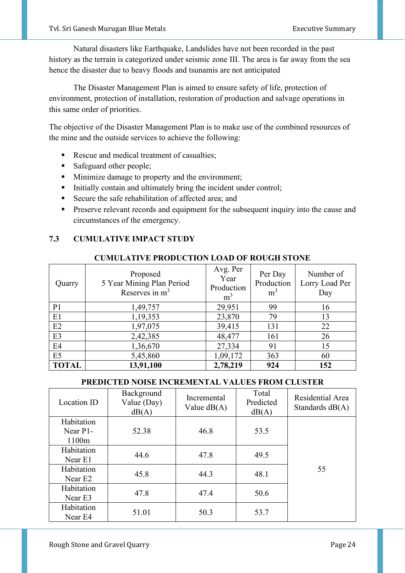Natural disasters like Earthquake, Landslides have not been recorded in the past history as the terrain is categorized under seismic zone III. The area is far away from the sea hence the disaster due to heavy floods and tsunamis are not anticipated

 The Disaster Management Plan is aimed to ensure safety of life, protection of environment, protection of installation, restoration of production and salvage operations in this same order of priorities.

The objective of the Disaster Management Plan is to make use of the combined resources of the mine and the outside services to achieve the following:

- Rescue and medical treatment of casualties;
- Safeguard other people;
- Minimize damage to property and the environment;
- **•** Initially contain and ultimately bring the incident under control;
- Secure the safe rehabilitation of affected area; and
- **•** Preserve relevant records and equipment for the subsequent inquiry into the cause and circumstances of the emergency.

#### **7.3 CUMULATIVE IMPACT STUDY**

#### **CUMULATIVE PRODUCTION LOAD OF ROUGH STONE**

| Quarry         | Proposed<br>5 Year Mining Plan Period<br>Reserves in $m3$ | Avg. Per<br>Year<br>Production<br>m <sup>3</sup> | Per Day<br>Production<br>m <sup>3</sup> | Number of<br>Lorry Load Per<br>Day |
|----------------|-----------------------------------------------------------|--------------------------------------------------|-----------------------------------------|------------------------------------|
| P <sub>1</sub> | 1,49,757                                                  | 29,951                                           | 99                                      | 16                                 |
| E1             | 1,19,353                                                  | 23,870                                           | 79                                      | 13                                 |
| E2             | 1,97,075                                                  | 39,415                                           | 131                                     | 22                                 |
| E <sub>3</sub> | 2,42,385                                                  | 48,477                                           | 161                                     | 26                                 |
| E4             | 1,36,670                                                  | 27,334                                           | 91                                      | 15                                 |
| E <sub>5</sub> | 5,45,860                                                  | 1,09,172                                         | 363                                     | 60                                 |
| <b>TOTAL</b>   | 13,91,100                                                 | 2,78,219                                         | 924                                     | 152                                |

#### **PREDICTED NOISE INCREMENTAL VALUES FROM CLUSTER**

| Location ID                       | Background<br>Value (Day)<br>dB(A) | Incremental<br>Value $dB(A)$ | Total<br>Predicted<br>dB(A) | Residential Area<br>Standards $dB(A)$ |
|-----------------------------------|------------------------------------|------------------------------|-----------------------------|---------------------------------------|
| Habitation<br>Near P1-<br>1100m   | 52.38                              | 46.8                         | 53.5                        |                                       |
| Habitation<br>Near E1             | 44.6                               | 47.8                         | 49.5                        |                                       |
| Habitation<br>Near E <sub>2</sub> | 45.8                               | 44.3                         | 48.1                        | 55                                    |
| Habitation<br>Near E3             | 47.8                               | 47.4                         | 50.6                        |                                       |
| Habitation<br>Near E4             | 51.01                              | 50.3                         | 53.7                        |                                       |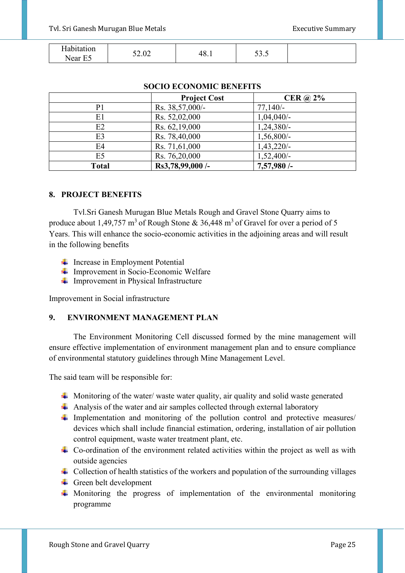| Johitotion<br>' tull | $\sim$<br>- ^         | $\sim$ | $\sim$<br>- |  |
|----------------------|-----------------------|--------|-------------|--|
| --<br>Near<br>ب س    | $J\Delta$ . $U\Delta$ | TV.I   | JJ.J        |  |

|                | <b>Project Cost</b> | CER $\omega$ 2% |  |  |  |
|----------------|---------------------|-----------------|--|--|--|
| P1             | Rs. 38,57,000/-     | $77,140/-$      |  |  |  |
| E1             | Rs. 52,02,000       | $1,04,040/-$    |  |  |  |
| E2             | Rs. 62,19,000       | $1,24,380/-$    |  |  |  |
| E3             | Rs. 78,40,000       | $1,56,800/-$    |  |  |  |
| E4             | Rs. 71,61,000       | $1,43,220/-$    |  |  |  |
| E <sub>5</sub> | Rs. 76,20,000       | $1,52,400/-$    |  |  |  |
| <b>Total</b>   | Rs3,78,99,000 /-    | 7,57,980/-      |  |  |  |

#### **SOCIO ECONOMIC BENEFITS**

#### **8. PROJECT BENEFITS**

Tvl.Sri Ganesh Murugan Blue Metals Rough and Gravel Stone Quarry aims to produce about 1,49,757 m<sup>3</sup> of Rough Stone & 36,448 m<sup>3</sup> of Gravel for over a period of 5 Years. This will enhance the socio-economic activities in the adjoining areas and will result in the following benefits

- $\downarrow$  Increase in Employment Potential
- $\downarrow$  Improvement in Socio-Economic Welfare
- $\downarrow$  Improvement in Physical Infrastructure

Improvement in Social infrastructure

#### **9. ENVIRONMENT MANAGEMENT PLAN**

The Environment Monitoring Cell discussed formed by the mine management will ensure effective implementation of environment management plan and to ensure compliance of environmental statutory guidelines through Mine Management Level.

The said team will be responsible for:

- $\ddot{\phantom{1}}$  Monitoring of the water/ waste water quality, air quality and solid waste generated
- $\overline{\text{4}}$  Analysis of the water and air samples collected through external laboratory
- Implementation and monitoring of the pollution control and protective measures/ devices which shall include financial estimation, ordering, installation of air pollution control equipment, waste water treatment plant, etc.
- $\overline{\phantom{a}}$  Co-ordination of the environment related activities within the project as well as with outside agencies
- $\downarrow$  Collection of health statistics of the workers and population of the surrounding villages
- $\overline{\phantom{a}}$  Green belt development
- $\ddot{+}$  Monitoring the progress of implementation of the environmental monitoring programme